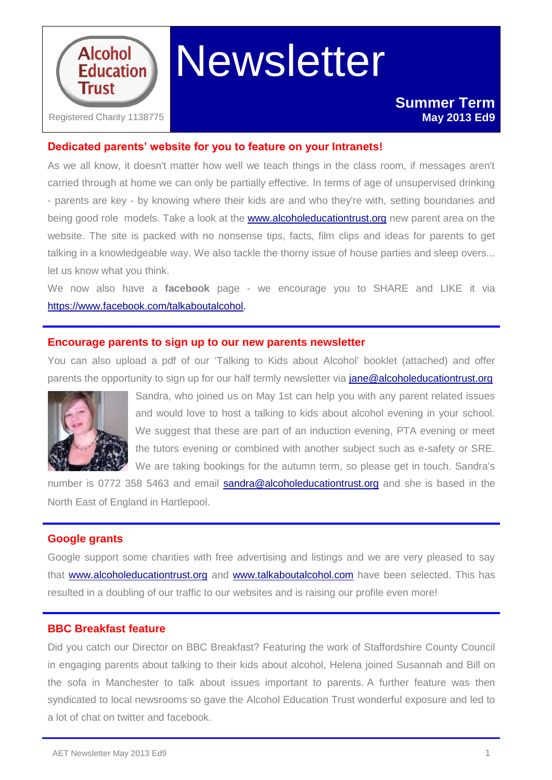

# **Newsletter**

# **Dedicated parents' website for you to feature on your Intranets!**

As we all know, it doesn't matter how well we teach things in the class room, if messages aren't carried through at home we can only be partially effective. In terms of age of unsupervised drinking - parents are key - by knowing where their kids are and who they're with, setting boundaries and being good role models. Take a look at the [www.alcoholeducationtrust.org](http://www.alcoholeducationtrust.org/) new parent area on the website. The site is packed with no nonsense tips, facts, film clips and ideas for parents to get talking in a knowledgeable way. We also tackle the thorny issue of house parties and sleep overs... let us know what you think.

We now also have a **facebook** page - we encourage you to SHARE and LIKE it via [https://www.facebook.com/talkaboutalcohol.](https://www.facebook.com/talkaboutalcohol)

## **Encourage parents to sign up to our new parents newsletter**

You can also upload a pdf of our 'Talking to Kids about Alcohol' booklet (attached) and offer parents the opportunity to sign up for our half termly newsletter via [jane@alcoholeducationtrust.org](mailto:jane@alcoholeducationtrust.org)



Sandra, who joined us on May 1st can help you with any parent related issues and would love to host a talking to kids about alcohol evening in your school. We suggest that these are part of an induction evening, PTA evening or meet the tutors evening or combined with another subject such as e-safety or SRE. We are taking bookings for the autumn term, so please get in touch. Sandra's

number is 0772 358 5463 and email [sandra@alcoholeducationtrust.org](mailto:sandra@alcoholeducationtrust.org) and she is based in the North East of England in Hartlepool.

## **Google grants**

Google support some charities with free advertising and listings and we are very pleased to say that [www.alcoholeducationtrust.org](http://www.alcoholeducationtrust.org/) and [www.talkaboutalcohol.com](http://www.talkaboutalcohol.com/) have been selected. This has resulted in a doubling of our traffic to our websites and is raising our profile even more!

## **BBC Breakfast feature**

Did you catch our Director on BBC Breakfast? Featuring the work of Staffordshire County Council in engaging parents about talking to their kids about alcohol, Helena joined Susannah and Bill on the sofa in Manchester to talk about issues important to parents. A further feature was then syndicated to local newsrooms so gave the Alcohol Education Trust wonderful exposure and led to a lot of chat on twitter and facebook.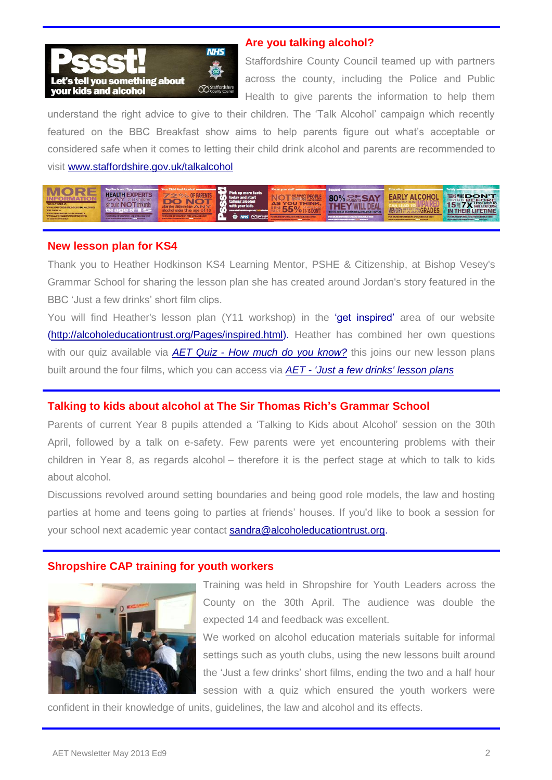

## **Are you talking alcohol?**

Staffordshire County Council teamed up with partners across the county, including the Police and Public Health to give parents the information to help them

understand the right advice to give to their children. The 'Talk Alcohol' campaign which recently featured on the BBC Breakfast show aims to help parents figure out what's acceptable or considered safe when it comes to letting their child drink alcohol and parents are recommended to visit [www.staffordshire.gov.uk/talkalcohol](http://www.staffordshire.gov.uk/talkalcohol)

| FIND OUT MORE AT:<br>WWW.STAFFORDSHIRE.GOV.UK/TALKALCOHOL<br>With thursks to:<br>WWW.DEBIKAWADE.CO.100/BASEMTS<br>WWW.ALCOHOLEDUCATIONTRUST.ORG | <b>Top Facts a</b><br><b>HEALTH EXPERTS</b><br>SAY<br><b>ANOTHER</b><br><b>LET</b><br>the age of T<br>RMATION AND GUIDANCE VISIT<br><b>FOR MO</b> | Pick up more facts<br>today and start<br>talking alcohol.<br>with your kids | Know your st<br>AS | 80% <b>RESAY</b><br><b>SILE OF THEIR KIDS AND ALCOHOL WHEN IT HAPPENS :</b><br>ATTOM AND GUIDANCE VISI | <b>Education</b><br>TAPI .<br><b>JEMORY</b><br>GRA<br>FOR MORE!  | TENS WHO <b>DON'T</b><br><b>BEFORE</b><br><b>15 Y X HESS LIKELY TO</b><br><b>IN THEIR LIFETIME</b> |
|-------------------------------------------------------------------------------------------------------------------------------------------------|---------------------------------------------------------------------------------------------------------------------------------------------------|-----------------------------------------------------------------------------|--------------------|--------------------------------------------------------------------------------------------------------|------------------------------------------------------------------|----------------------------------------------------------------------------------------------------|
| for source information                                                                                                                          | WWW.STAFFORDSHIRE.GOV.LIKA 111 &LCCHOL                                                                                                            | <b>CO</b> Staffords                                                         |                    | <b>WWW.STRETTOROGRAPHOTOROGY</b><br><b>MARCHERS</b>                                                    | ATION AND GUIDANCE VISIT<br>WWW.STARTOEDISHIP.GOVIDKA  42.CONCE. | FOR MORE INFORMATION AND GUIDANCE VISIT<br>WWW.STATFORDSHER.GOVINA  ALCOHOL                        |

#### **New lesson plan for KS4**

Thank you to Heather Hodkinson KS4 Learning Mentor, PSHE & Citizenship, at Bishop Vesey's Grammar School for sharing the lesson plan she has created around Jordan's story featured in the BBC 'Just a few drinks' short film clips.

You will find Heather's lesson plan (Y11 workshop) in the 'get inspired' area of our website [\(http://alcoholeducationtrust.org/Pages/inspired.html\)](http://alcoholeducationtrust.org/Pages/inspired.html). Heather has combined her own questions with our quiz available via *AET Quiz - [How much do you know?](http://alcoholeducationtrust.org/Pages/Howmuch.html)* this joins our new lesson plans built around the four films, which you can access via *AET - ['Just a few drinks' lesson plans](http://alcoholeducationtrust.org/Pages/effectslp.html)*

# **Talking to kids about alcohol at The Sir Thomas Rich's Grammar School**

Parents of current Year 8 pupils attended a 'Talking to Kids about Alcohol' session on the 30th April, followed by a talk on e-safety. Few parents were yet encountering problems with their children in Year 8, as regards alcohol – therefore it is the perfect stage at which to talk to kids about alcohol.

Discussions revolved around setting boundaries and being good role models, the law and hosting parties at home and teens going to parties at friends' houses. If you'd like to book a session for your school next academic year contact [sandra@alcoholeducationtrust.org.](mailto:sandra@alcoholeducationtrust.org)

### **Shropshire CAP training for youth workers**



Training was held in Shropshire for Youth Leaders across the County on the 30th April. The audience was double the expected 14 and feedback was excellent.

We worked on alcohol education materials suitable for informal settings such as youth clubs, using the new lessons built around the 'Just a few drinks' short films, ending the two and a half hour session with a quiz which ensured the youth workers were

confident in their knowledge of units, guidelines, the law and alcohol and its effects.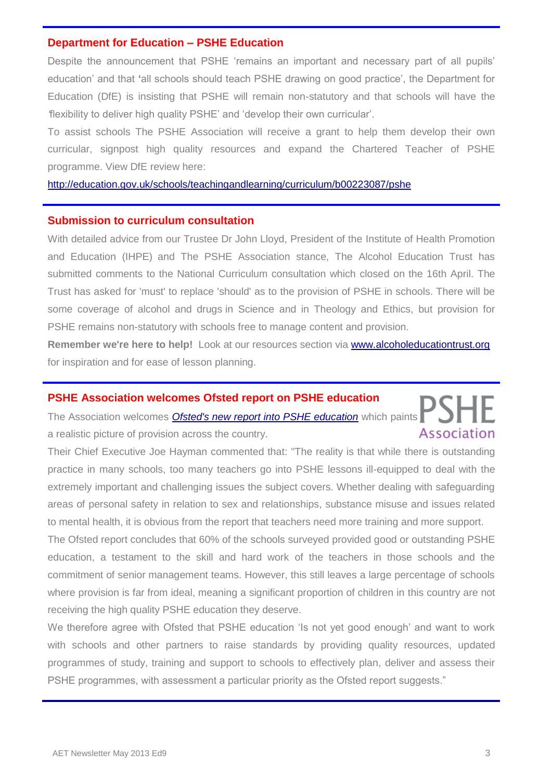#### **Department for Education – PSHE Education**

Despite the announcement that PSHE 'remains an important and necessary part of all pupils' education' and that **'**all schools should teach PSHE drawing on good practice', the Department for Education (DfE) is insisting that PSHE will remain non-statutory and that schools will have the *'*flexibility to deliver high quality PSHE' and 'develop their own curricular'.

To assist schools The PSHE Association will receive a grant to help them develop their own curricular, signpost high quality resources and expand the Chartered Teacher of PSHE programme. View DfE review here:

<http://education.gov.uk/schools/teachingandlearning/curriculum/b00223087/pshe>

#### **Submission to curriculum consultation**

With detailed advice from our Trustee Dr John Lloyd, President of the Institute of Health Promotion and Education (IHPE) and The PSHE Association stance, The Alcohol Education Trust has submitted comments to the National Curriculum consultation which closed on the 16th April. The Trust has asked for 'must' to replace 'should' as to the provision of PSHE in schools. There will be some coverage of alcohol and drugs in Science and in Theology and Ethics, but provision for PSHE remains non-statutory with schools free to manage content and provision.

**Remember we're here to help!** Look at our resources section via [www.alcoholeducationtrust.org](http://www.alcoholeducationtrust.org/) for inspiration and for ease of lesson planning.

#### **PSHE Association welcomes Ofsted report on PSHE education**

The Association welcomes *[Ofsted's new report into PSHE education](http://dmtrk.net/HSS-1GL0W-3W0E60-KWK7Y-1/c.aspx)* which paints Association a realistic picture of provision across the country.

Their Chief Executive Joe Hayman commented that: "The reality is that while there is outstanding practice in many schools, too many teachers go into PSHE lessons ill-equipped to deal with the extremely important and challenging issues the subject covers. Whether dealing with safeguarding areas of personal safety in relation to sex and relationships, substance misuse and issues related to mental health, it is obvious from the report that teachers need more training and more support.

The Ofsted report concludes that 60% of the schools surveyed provided good or outstanding PSHE education, a testament to the skill and hard work of the teachers in those schools and the commitment of senior management teams. However, this still leaves a large percentage of schools where provision is far from ideal, meaning a significant proportion of children in this country are not receiving the high quality PSHE education they deserve.

We therefore agree with Ofsted that PSHE education 'Is not yet good enough' and want to work with schools and other partners to raise standards by providing quality resources, updated programmes of study, training and support to schools to effectively plan, deliver and assess their PSHE programmes, with assessment a particular priority as the Ofsted report suggests."